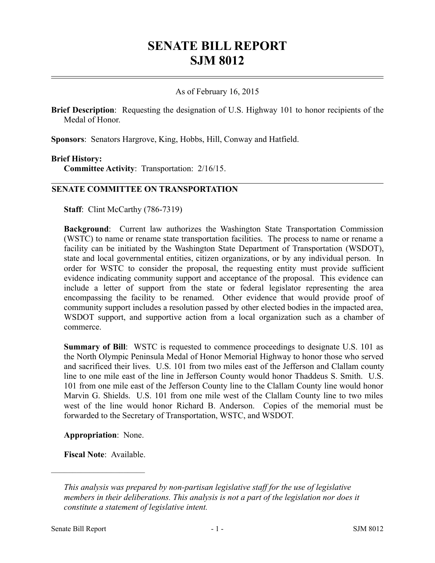# **SENATE BILL REPORT SJM 8012**

## As of February 16, 2015

**Brief Description**: Requesting the designation of U.S. Highway 101 to honor recipients of the Medal of Honor.

**Sponsors**: Senators Hargrove, King, Hobbs, Hill, Conway and Hatfield.

#### **Brief History:**

**Committee Activity**: Transportation: 2/16/15.

### **SENATE COMMITTEE ON TRANSPORTATION**

**Staff**: Clint McCarthy (786-7319)

**Background**: Current law authorizes the Washington State Transportation Commission (WSTC) to name or rename state transportation facilities. The process to name or rename a facility can be initiated by the Washington State Department of Transportation (WSDOT), state and local governmental entities, citizen organizations, or by any individual person. In order for WSTC to consider the proposal, the requesting entity must provide sufficient evidence indicating community support and acceptance of the proposal. This evidence can include a letter of support from the state or federal legislator representing the area encompassing the facility to be renamed. Other evidence that would provide proof of community support includes a resolution passed by other elected bodies in the impacted area, WSDOT support, and supportive action from a local organization such as a chamber of commerce.

**Summary of Bill**: WSTC is requested to commence proceedings to designate U.S. 101 as the North Olympic Peninsula Medal of Honor Memorial Highway to honor those who served and sacrificed their lives. U.S. 101 from two miles east of the Jefferson and Clallam county line to one mile east of the line in Jefferson County would honor Thaddeus S. Smith. U.S. 101 from one mile east of the Jefferson County line to the Clallam County line would honor Marvin G. Shields. U.S. 101 from one mile west of the Clallam County line to two miles west of the line would honor Richard B. Anderson. Copies of the memorial must be forwarded to the Secretary of Transportation, WSTC, and WSDOT.

**Appropriation**: None.

**Fiscal Note**: Available.

––––––––––––––––––––––

*This analysis was prepared by non-partisan legislative staff for the use of legislative members in their deliberations. This analysis is not a part of the legislation nor does it constitute a statement of legislative intent.*